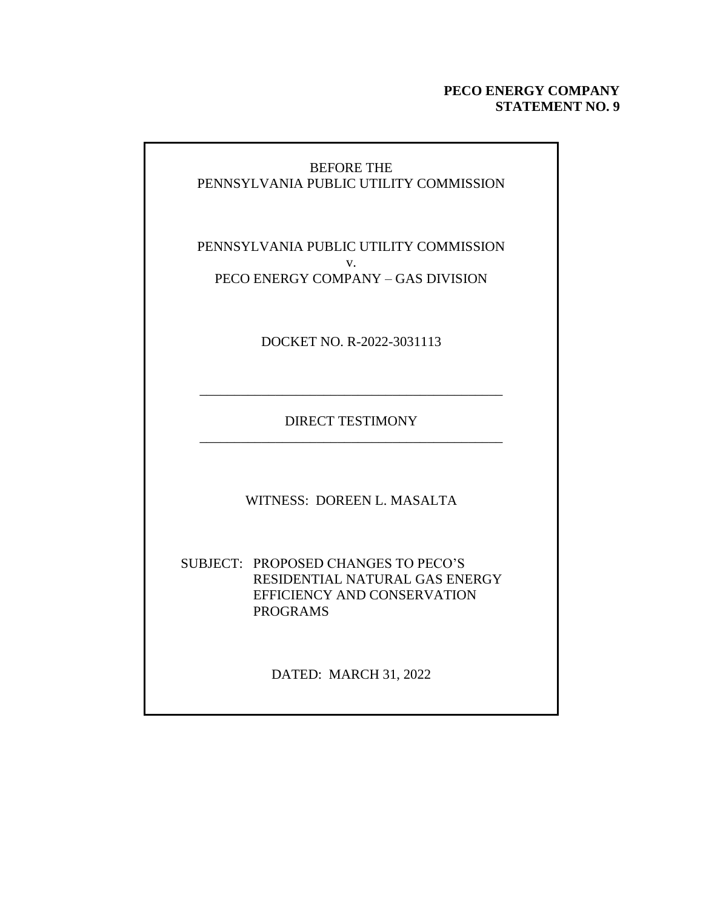## **PECO ENERGY COMPANY STATEMENT NO. 9**

## BEFORE THE PENNSYLVANIA PUBLIC UTILITY COMMISSION

PENNSYLVANIA PUBLIC UTILITY COMMISSION v. PECO ENERGY COMPANY – GAS DIVISION

DOCKET NO. R-2022-3031113

DIRECT TESTIMONY \_\_\_\_\_\_\_\_\_\_\_\_\_\_\_\_\_\_\_\_\_\_\_\_\_\_\_\_\_\_\_\_\_\_\_\_\_\_\_\_\_\_\_\_

\_\_\_\_\_\_\_\_\_\_\_\_\_\_\_\_\_\_\_\_\_\_\_\_\_\_\_\_\_\_\_\_\_\_\_\_\_\_\_\_\_\_\_\_

WITNESS: DOREEN L. MASALTA

SUBJECT: PROPOSED CHANGES TO PECO'S RESIDENTIAL NATURAL GAS ENERGY EFFICIENCY AND CONSERVATION PROGRAMS

DATED: MARCH 31, 2022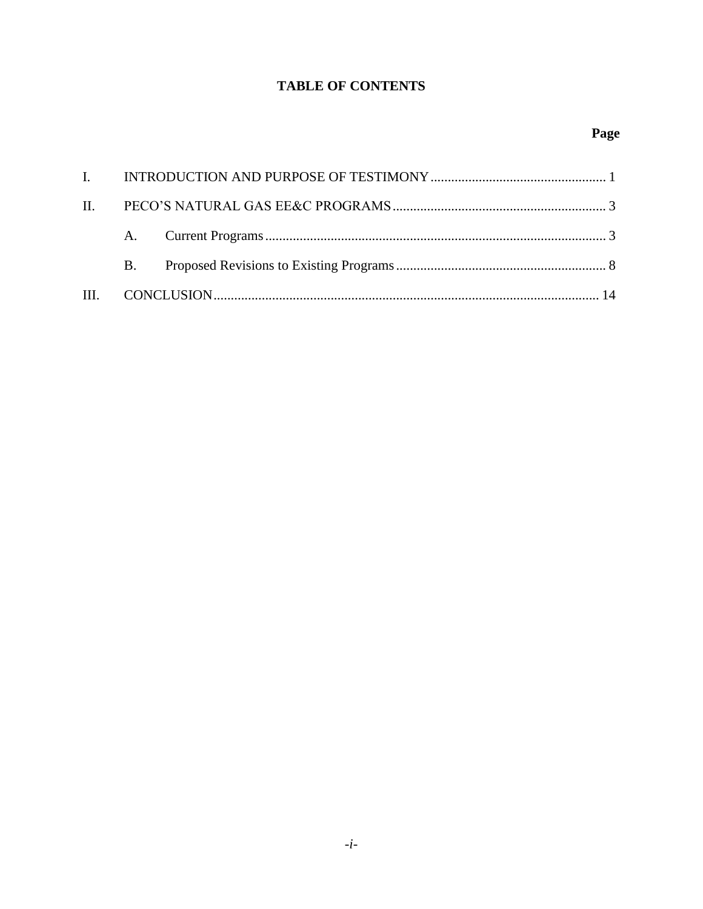# **TABLE OF CONTENTS**

| $\mathbf{B}$ . |  |
|----------------|--|
|                |  |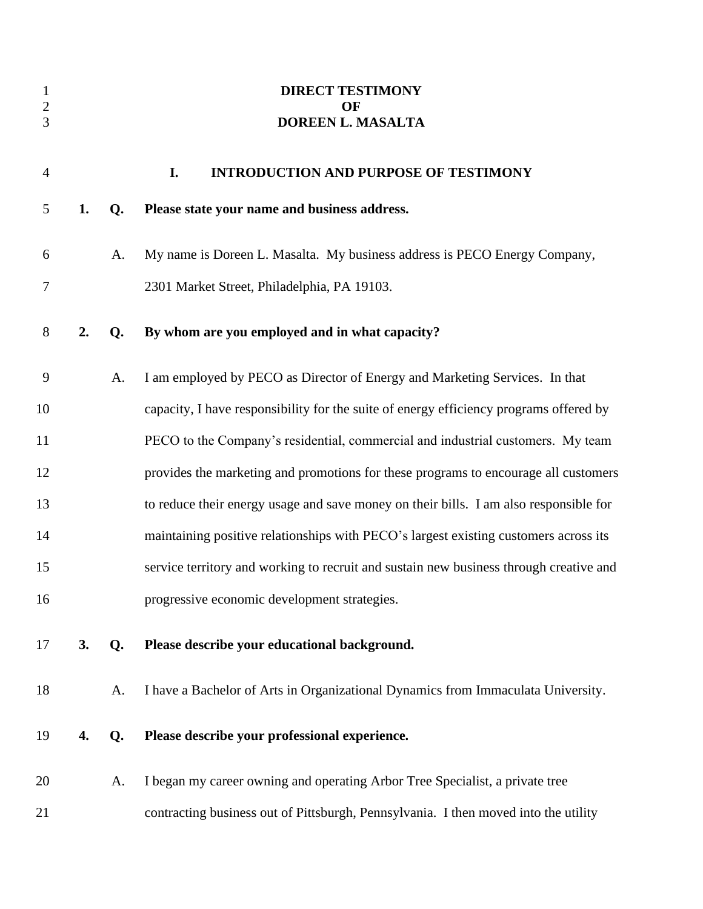<span id="page-2-0"></span>

| $\mathbf{1}$<br>$\frac{2}{3}$ |    |                | <b>DIRECT TESTIMONY</b><br>OF<br>DOREEN L. MASALTA                                     |
|-------------------------------|----|----------------|----------------------------------------------------------------------------------------|
| $\overline{4}$                |    |                | I.<br><b>INTRODUCTION AND PURPOSE OF TESTIMONY</b>                                     |
| 5                             | 1. | Q.             | Please state your name and business address.                                           |
| 6                             |    | A.             | My name is Doreen L. Masalta. My business address is PECO Energy Company,              |
| 7                             |    |                | 2301 Market Street, Philadelphia, PA 19103.                                            |
| 8                             | 2. | Q.             | By whom are you employed and in what capacity?                                         |
| 9                             |    | A.             | I am employed by PECO as Director of Energy and Marketing Services. In that            |
| 10                            |    |                | capacity, I have responsibility for the suite of energy efficiency programs offered by |
| 11                            |    |                | PECO to the Company's residential, commercial and industrial customers. My team        |
| 12                            |    |                | provides the marketing and promotions for these programs to encourage all customers    |
| 13                            |    |                | to reduce their energy usage and save money on their bills. I am also responsible for  |
| 14                            |    |                | maintaining positive relationships with PECO's largest existing customers across its   |
| 15                            |    |                | service territory and working to recruit and sustain new business through creative and |
| 16                            |    |                | progressive economic development strategies.                                           |
| 17                            | 3. | Q <sub>r</sub> | Please describe your educational background.                                           |
| 18                            |    | A.             | I have a Bachelor of Arts in Organizational Dynamics from Immaculata University.       |
| 19                            | 4. | Q.             | Please describe your professional experience.                                          |
| 20                            |    | A.             | I began my career owning and operating Arbor Tree Specialist, a private tree           |
| 21                            |    |                | contracting business out of Pittsburgh, Pennsylvania. I then moved into the utility    |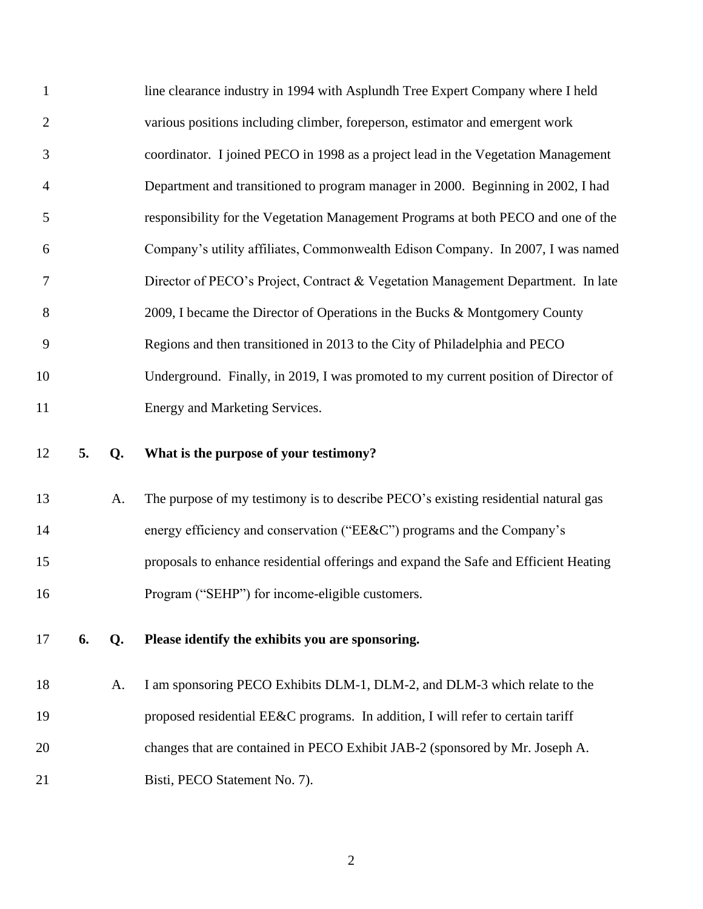| $\mathbf{1}$   |    |    | line clearance industry in 1994 with Asplundh Tree Expert Company where I held       |
|----------------|----|----|--------------------------------------------------------------------------------------|
| $\overline{2}$ |    |    | various positions including climber, foreperson, estimator and emergent work         |
| 3              |    |    | coordinator. I joined PECO in 1998 as a project lead in the Vegetation Management    |
| $\overline{4}$ |    |    | Department and transitioned to program manager in 2000. Beginning in 2002, I had     |
| 5              |    |    | responsibility for the Vegetation Management Programs at both PECO and one of the    |
| 6              |    |    | Company's utility affiliates, Commonwealth Edison Company. In 2007, I was named      |
| $\tau$         |    |    | Director of PECO's Project, Contract & Vegetation Management Department. In late     |
| 8              |    |    | 2009, I became the Director of Operations in the Bucks & Montgomery County           |
| 9              |    |    | Regions and then transitioned in 2013 to the City of Philadelphia and PECO           |
| 10             |    |    | Underground. Finally, in 2019, I was promoted to my current position of Director of  |
| 11             |    |    | Energy and Marketing Services.                                                       |
|                |    |    |                                                                                      |
| 12             | 5. | Q. | What is the purpose of your testimony?                                               |
| 13             |    | A. | The purpose of my testimony is to describe PECO's existing residential natural gas   |
| 14             |    |    | energy efficiency and conservation ("EE&C") programs and the Company's               |
| 15             |    |    | proposals to enhance residential offerings and expand the Safe and Efficient Heating |
| 16             |    |    | Program ("SEHP") for income-eligible customers.                                      |
| 17             | 6. | Q. | Please identify the exhibits you are sponsoring.                                     |
| 18             |    | A. | I am sponsoring PECO Exhibits DLM-1, DLM-2, and DLM-3 which relate to the            |
| 19             |    |    | proposed residential EE&C programs. In addition, I will refer to certain tariff      |
| 20             |    |    | changes that are contained in PECO Exhibit JAB-2 (sponsored by Mr. Joseph A.         |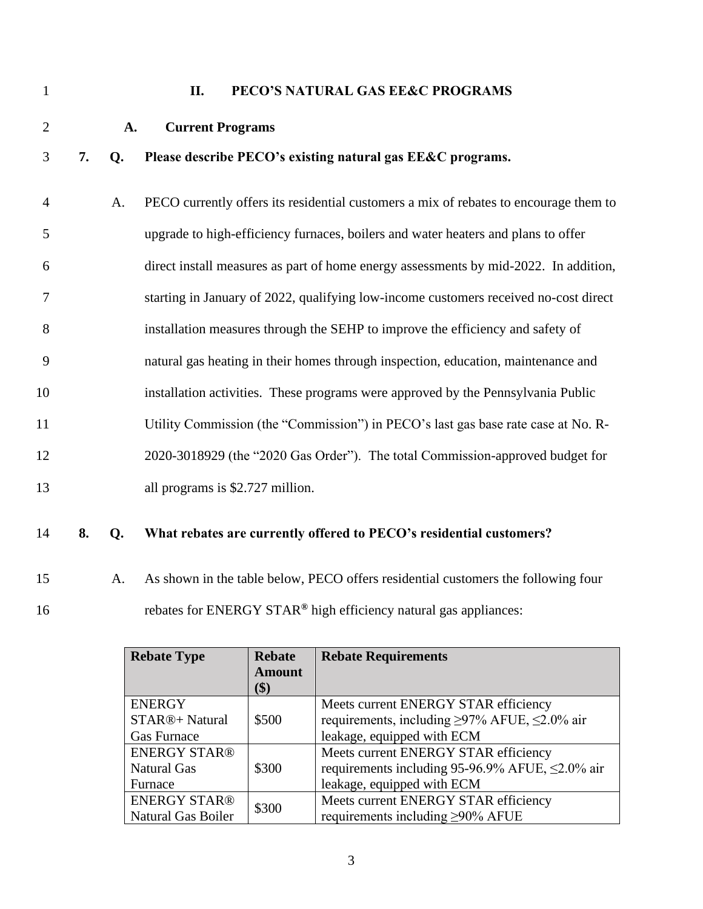<span id="page-4-1"></span><span id="page-4-0"></span>

| $\mathbf{1}$   |    |    | PECO'S NATURAL GAS EE&C PROGRAMS<br>II.                                               |
|----------------|----|----|---------------------------------------------------------------------------------------|
| $\overline{2}$ |    | A. | <b>Current Programs</b>                                                               |
| 3              | 7. | Q. | Please describe PECO's existing natural gas EE&C programs.                            |
| $\overline{4}$ |    | A. | PECO currently offers its residential customers a mix of rebates to encourage them to |
| 5              |    |    | upgrade to high-efficiency furnaces, boilers and water heaters and plans to offer     |
| 6              |    |    | direct install measures as part of home energy assessments by mid-2022. In addition,  |
| 7              |    |    | starting in January of 2022, qualifying low-income customers received no-cost direct  |
| 8              |    |    | installation measures through the SEHP to improve the efficiency and safety of        |
| 9              |    |    | natural gas heating in their homes through inspection, education, maintenance and     |
| 10             |    |    | installation activities. These programs were approved by the Pennsylvania Public      |
| 11             |    |    | Utility Commission (the "Commission") in PECO's last gas base rate case at No. R-     |
| 12             |    |    | 2020-3018929 (the "2020 Gas Order"). The total Commission-approved budget for         |
| 13             |    |    | all programs is \$2.727 million.                                                      |
| 14             | 8. | Q. | What rebates are currently offered to PECO's residential customers?                   |

15 A. As shown in the table below, PECO offers residential customers the following four 16 rebates for ENERGY STAR<sup>®</sup> high efficiency natural gas appliances:

| <b>Rebate Type</b>           | <b>Rebate</b> | <b>Rebate Requirements</b>                               |  |
|------------------------------|---------------|----------------------------------------------------------|--|
|                              | <b>Amount</b> |                                                          |  |
|                              | \$)           |                                                          |  |
| <b>ENERGY</b>                |               | Meets current ENERGY STAR efficiency                     |  |
| STAR®+ Natural               | \$500         | requirements, including $\geq$ 97% AFUE, $\leq$ 2.0% air |  |
| <b>Gas Furnace</b>           |               | leakage, equipped with ECM                               |  |
| <b>ENERGY STAR®</b>          |               | Meets current ENERGY STAR efficiency                     |  |
| <b>Natural Gas</b>           | \$300         | requirements including 95-96.9% AFUE, $\leq$ 2.0% air    |  |
| Furnace                      |               | leakage, equipped with ECM                               |  |
| <b>ENERGY STAR®</b><br>\$300 |               | Meets current ENERGY STAR efficiency                     |  |
| <b>Natural Gas Boiler</b>    |               | requirements including $\geq$ 90% AFUE                   |  |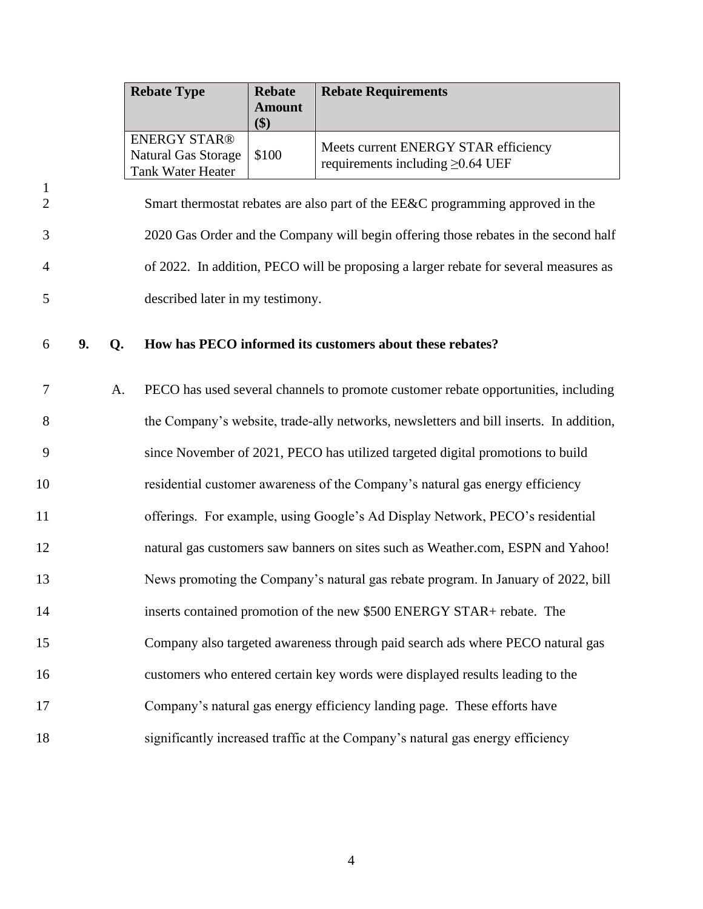|                                |                                                                                        |    | <b>Rebate Type</b>                                                            | <b>Rebate</b><br><b>Amount</b><br>\$) | <b>Rebate Requirements</b>                                                           |
|--------------------------------|----------------------------------------------------------------------------------------|----|-------------------------------------------------------------------------------|---------------------------------------|--------------------------------------------------------------------------------------|
|                                |                                                                                        |    | <b>ENERGY STAR®</b><br><b>Natural Gas Storage</b><br><b>Tank Water Heater</b> | \$100                                 | Meets current ENERGY STAR efficiency<br>requirements including $\geq 0.64$ UEF       |
| $\mathbf{1}$<br>$\overline{2}$ |                                                                                        |    |                                                                               |                                       | Smart thermostat rebates are also part of the EE&C programming approved in the       |
| 3                              |                                                                                        |    |                                                                               |                                       | 2020 Gas Order and the Company will begin offering those rebates in the second half  |
| 4                              |                                                                                        |    |                                                                               |                                       | of 2022. In addition, PECO will be proposing a larger rebate for several measures as |
| 5                              |                                                                                        |    | described later in my testimony.                                              |                                       |                                                                                      |
| 6                              | 9.                                                                                     | Q. |                                                                               |                                       | How has PECO informed its customers about these rebates?                             |
| 7                              |                                                                                        | A. |                                                                               |                                       | PECO has used several channels to promote customer rebate opportunities, including   |
| 8                              | the Company's website, trade-ally networks, newsletters and bill inserts. In addition, |    |                                                                               |                                       |                                                                                      |
| 9                              | since November of 2021, PECO has utilized targeted digital promotions to build         |    |                                                                               |                                       |                                                                                      |
| 10                             | residential customer awareness of the Company's natural gas energy efficiency          |    |                                                                               |                                       |                                                                                      |
| 11                             | offerings. For example, using Google's Ad Display Network, PECO's residential          |    |                                                                               |                                       |                                                                                      |
| 12                             |                                                                                        |    |                                                                               |                                       | natural gas customers saw banners on sites such as Weather.com, ESPN and Yahoo!      |
| 13                             |                                                                                        |    |                                                                               |                                       | News promoting the Company's natural gas rebate program. In January of 2022, bill    |
| 14                             |                                                                                        |    |                                                                               |                                       | inserts contained promotion of the new \$500 ENERGY STAR+ rebate. The                |
| 15                             |                                                                                        |    |                                                                               |                                       | Company also targeted awareness through paid search ads where PECO natural gas       |
| 16                             |                                                                                        |    |                                                                               |                                       | customers who entered certain key words were displayed results leading to the        |
| 17                             |                                                                                        |    |                                                                               |                                       | Company's natural gas energy efficiency landing page. These efforts have             |
| 18                             |                                                                                        |    |                                                                               |                                       | significantly increased traffic at the Company's natural gas energy efficiency       |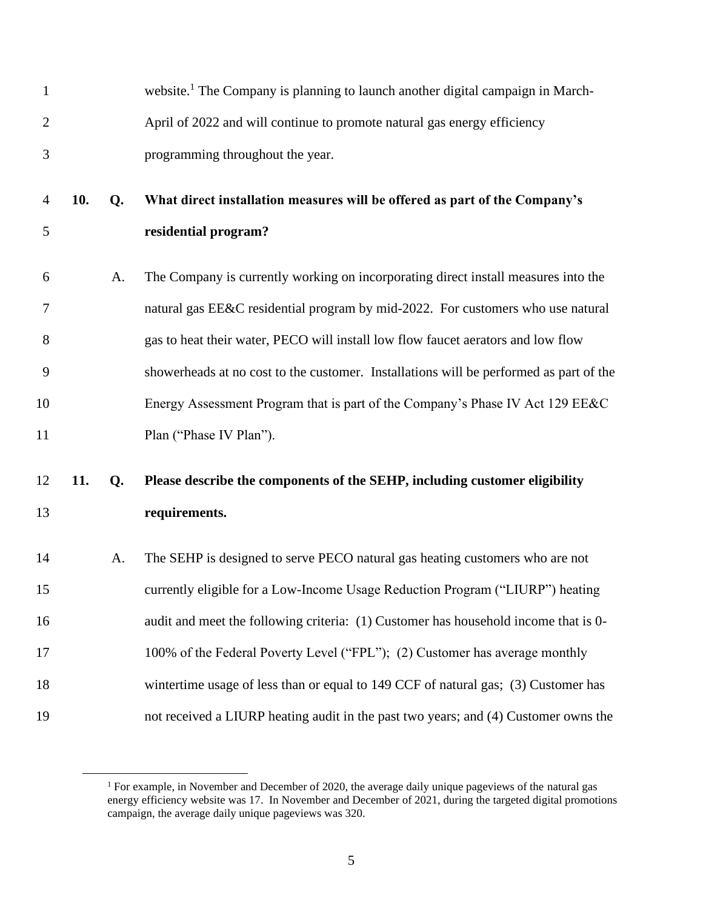| $\mathbf{1}$   |     |    | website. <sup>1</sup> The Company is planning to launch another digital campaign in March- |
|----------------|-----|----|--------------------------------------------------------------------------------------------|
| $\overline{c}$ |     |    | April of 2022 and will continue to promote natural gas energy efficiency                   |
| 3              |     |    | programming throughout the year.                                                           |
| 4              | 10. | Q. | What direct installation measures will be offered as part of the Company's                 |
| 5              |     |    | residential program?                                                                       |
| 6              |     | A. | The Company is currently working on incorporating direct install measures into the         |
| 7              |     |    | natural gas EE&C residential program by mid-2022. For customers who use natural            |
| 8              |     |    | gas to heat their water, PECO will install low flow faucet aerators and low flow           |
| 9              |     |    | showerheads at no cost to the customer. Installations will be performed as part of the     |
| 10             |     |    | Energy Assessment Program that is part of the Company's Phase IV Act 129 EE&C              |
| 11             |     |    | Plan ("Phase IV Plan").                                                                    |
| 12             | 11. | Q. | Please describe the components of the SEHP, including customer eligibility                 |
| 13             |     |    | requirements.                                                                              |
| 14             |     | A. | The SEHP is designed to serve PECO natural gas heating customers who are not               |
| 15             |     |    | currently eligible for a Low-Income Usage Reduction Program ("LIURP") heating              |
| 16             |     |    | audit and meet the following criteria: (1) Customer has household income that is 0-        |
| 17             |     |    | 100% of the Federal Poverty Level ("FPL"); (2) Customer has average monthly                |
| 18             |     |    | wintertime usage of less than or equal to 149 CCF of natural gas; (3) Customer has         |
| 19             |     |    | not received a LIURP heating audit in the past two years; and (4) Customer owns the        |

 $<sup>1</sup>$  For example, in November and December of 2020, the average daily unique pageviews of the natural gas</sup> energy efficiency website was 17. In November and December of 2021, during the targeted digital promotions campaign, the average daily unique pageviews was 320.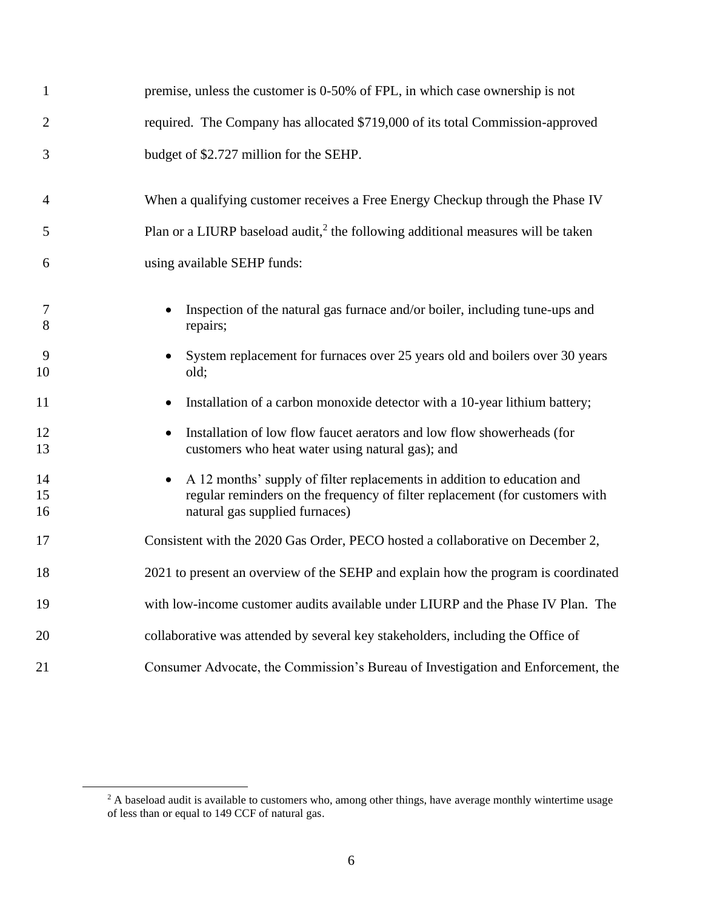| $\mathbf{1}$   | premise, unless the customer is 0-50% of FPL, in which case ownership is not                                                                                                              |
|----------------|-------------------------------------------------------------------------------------------------------------------------------------------------------------------------------------------|
| $\overline{2}$ | required. The Company has allocated \$719,000 of its total Commission-approved                                                                                                            |
| $\overline{3}$ | budget of \$2.727 million for the SEHP.                                                                                                                                                   |
| $\overline{4}$ | When a qualifying customer receives a Free Energy Checkup through the Phase IV                                                                                                            |
| 5              | Plan or a LIURP baseload audit, $2$ the following additional measures will be taken                                                                                                       |
| 6              | using available SEHP funds:                                                                                                                                                               |
| $\tau$<br>8    | Inspection of the natural gas furnace and/or boiler, including tune-ups and<br>repairs;                                                                                                   |
| 9<br>10        | System replacement for furnaces over 25 years old and boilers over 30 years<br>old;                                                                                                       |
| 11             | Installation of a carbon monoxide detector with a 10-year lithium battery;<br>$\bullet$                                                                                                   |
| 12<br>13       | Installation of low flow faucet aerators and low flow showerheads (for<br>customers who heat water using natural gas); and                                                                |
| 14<br>15<br>16 | A 12 months' supply of filter replacements in addition to education and<br>regular reminders on the frequency of filter replacement (for customers with<br>natural gas supplied furnaces) |
| 17             | Consistent with the 2020 Gas Order, PECO hosted a collaborative on December 2,                                                                                                            |
| 18             | 2021 to present an overview of the SEHP and explain how the program is coordinated                                                                                                        |
| 19             | with low-income customer audits available under LIURP and the Phase IV Plan. The                                                                                                          |
| 20             | collaborative was attended by several key stakeholders, including the Office of                                                                                                           |
| 21             | Consumer Advocate, the Commission's Bureau of Investigation and Enforcement, the                                                                                                          |

 $2^2$  A baseload audit is available to customers who, among other things, have average monthly wintertime usage of less than or equal to 149 CCF of natural gas.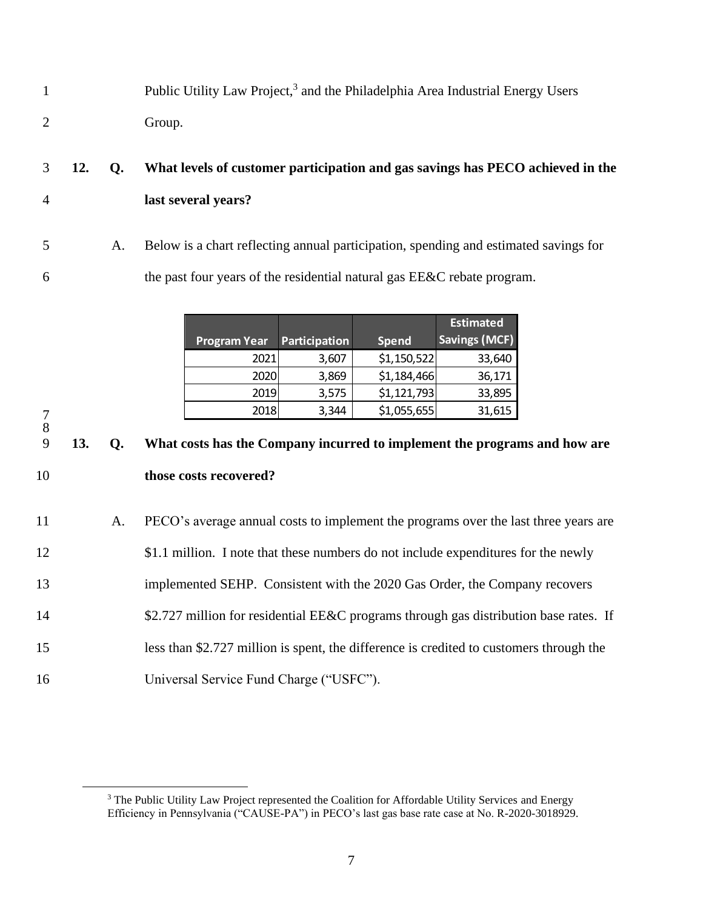| Public Utility Law Project, <sup>3</sup> and the Philadelphia Area Industrial Energy Users |
|--------------------------------------------------------------------------------------------|
| Group.                                                                                     |

# 3 **12. Q. What levels of customer participation and gas savings has PECO achieved in the**  4 **last several years?**

5 A. Below is a chart reflecting annual participation, spending and estimated savings for 6 the past four years of the residential natural gas EE&C rebate program.

| <b>Program Year</b> | Participation | <b>Spend</b> | <b>Estimated</b><br><b>Savings (MCF)</b> |
|---------------------|---------------|--------------|------------------------------------------|
| 2021                | 3,607         | \$1,150,522  | 33,640                                   |
| 2020                | 3,869         | \$1,184,466  | 36,171                                   |
| 2019                | 3,575         | \$1,121,793  | 33,895                                   |
| 2018                | 3,344         | \$1,055,655  | 31,615                                   |

9 **13. Q. What costs has the Company incurred to implement the programs and how are**  10 **those costs recovered?**

7 8

 A. PECO's average annual costs to implement the programs over the last three years are 12 \$1.1 million. I note that these numbers do not include expenditures for the newly implemented SEHP. Consistent with the 2020 Gas Order, the Company recovers 14 \$2.727 million for residential EE&C programs through gas distribution base rates. If less than \$2.727 million is spent, the difference is credited to customers through the Universal Service Fund Charge ("USFC").

<sup>&</sup>lt;sup>3</sup> The Public Utility Law Project represented the Coalition for Affordable Utility Services and Energy Efficiency in Pennsylvania ("CAUSE-PA") in PECO's last gas base rate case at No. R-2020-3018929.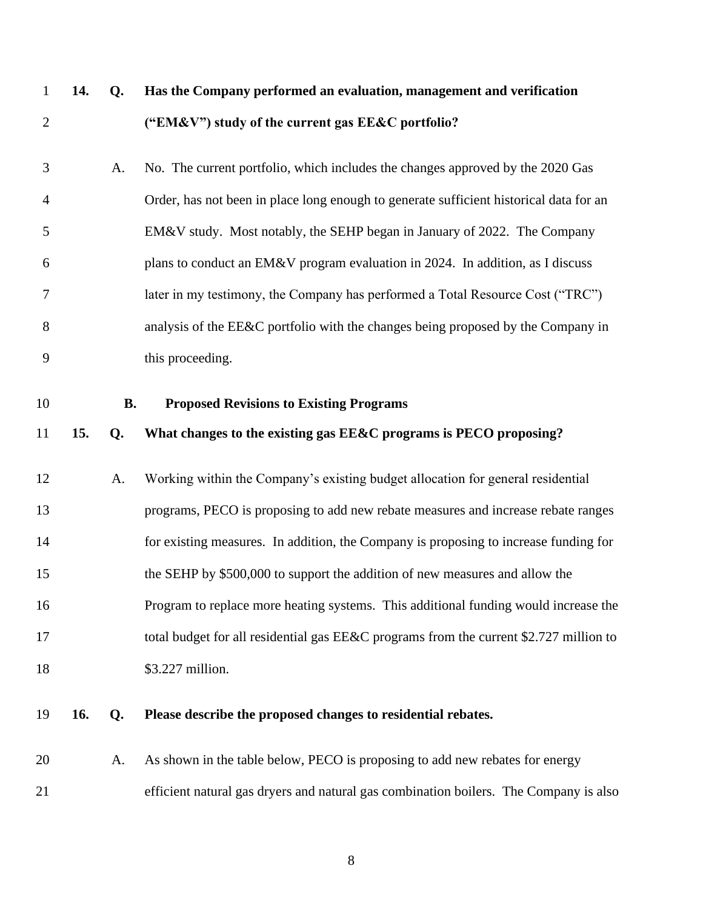|  | 14. O. | Has the Company performed an evaluation, management and verification |
|--|--------|----------------------------------------------------------------------|
|  |        | ("EM&V") study of the current gas $EE&C$ portfolio?                  |

 A. No. The current portfolio, which includes the changes approved by the 2020 Gas Order, has not been in place long enough to generate sufficient historical data for an EM&V study. Most notably, the SEHP began in January of 2022. The Company plans to conduct an EM&V program evaluation in 2024. In addition, as I discuss later in my testimony, the Company has performed a Total Resource Cost ("TRC") analysis of the EE&C portfolio with the changes being proposed by the Company in this proceeding.

<span id="page-9-0"></span>

#### **B. Proposed Revisions to Existing Programs**

#### **15. Q. What changes to the existing gas EE&C programs is PECO proposing?**

 A. Working within the Company's existing budget allocation for general residential programs, PECO is proposing to add new rebate measures and increase rebate ranges for existing measures. In addition, the Company is proposing to increase funding for the SEHP by \$500,000 to support the addition of new measures and allow the Program to replace more heating systems. This additional funding would increase the 17 total budget for all residential gas EE&C programs from the current \$2.727 million to 18 \$3.227 million.

### **16. Q. Please describe the proposed changes to residential rebates.**

 A. As shown in the table below, PECO is proposing to add new rebates for energy efficient natural gas dryers and natural gas combination boilers. The Company is also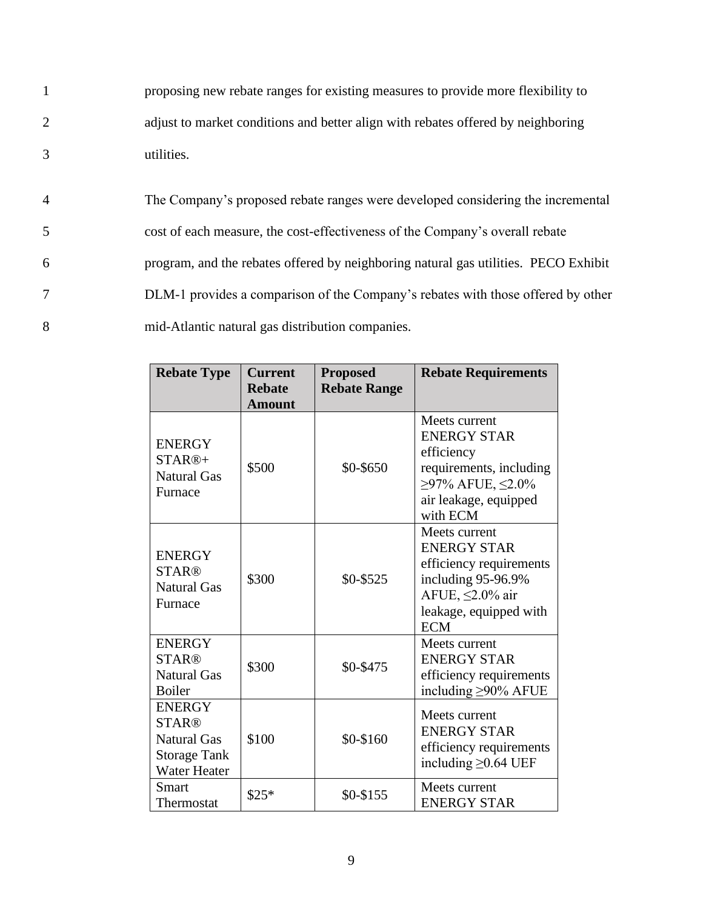1 proposing new rebate ranges for existing measures to provide more flexibility to 2 adjust to market conditions and better align with rebates offered by neighboring 3 utilities.

 The Company's proposed rebate ranges were developed considering the incremental cost of each measure, the cost-effectiveness of the Company's overall rebate program, and the rebates offered by neighboring natural gas utilities. PECO Exhibit DLM-1 provides a comparison of the Company's rebates with those offered by other mid-Atlantic natural gas distribution companies.

| <b>Rebate Type</b>                                                                         | <b>Current</b><br><b>Rebate</b><br><b>Amount</b> | <b>Proposed</b><br><b>Rebate Range</b> | <b>Rebate Requirements</b>                                                                                                                      |
|--------------------------------------------------------------------------------------------|--------------------------------------------------|----------------------------------------|-------------------------------------------------------------------------------------------------------------------------------------------------|
| <b>ENERGY</b><br>$STAR@+$<br><b>Natural Gas</b><br>Furnace                                 | \$500                                            | \$0-\$650                              | Meets current<br><b>ENERGY STAR</b><br>efficiency<br>requirements, including<br>$≥97%$ AFUE, $≤2.0%$<br>air leakage, equipped<br>with ECM       |
| <b>ENERGY</b><br><b>STAR®</b><br><b>Natural Gas</b><br>Furnace                             | \$300                                            | \$0-\$525                              | Meets current<br><b>ENERGY STAR</b><br>efficiency requirements<br>including 95-96.9%<br>AFUE, ≤2.0% air<br>leakage, equipped with<br><b>ECM</b> |
| <b>ENERGY</b><br><b>STAR®</b><br><b>Natural Gas</b><br><b>Boiler</b>                       | \$300                                            | \$0-\$475                              | Meets current<br><b>ENERGY STAR</b><br>efficiency requirements<br>including $\geq$ 90% AFUE                                                     |
| <b>ENERGY</b><br><b>STAR®</b><br>Natural Gas<br><b>Storage Tank</b><br><b>Water Heater</b> | \$100                                            | \$0-\$160                              | Meets current<br><b>ENERGY STAR</b><br>efficiency requirements<br>including $\geq$ 0.64 UEF                                                     |
| Smart<br>Thermostat                                                                        | $$25*$                                           | $$0-$155$                              | Meets current<br><b>ENERGY STAR</b>                                                                                                             |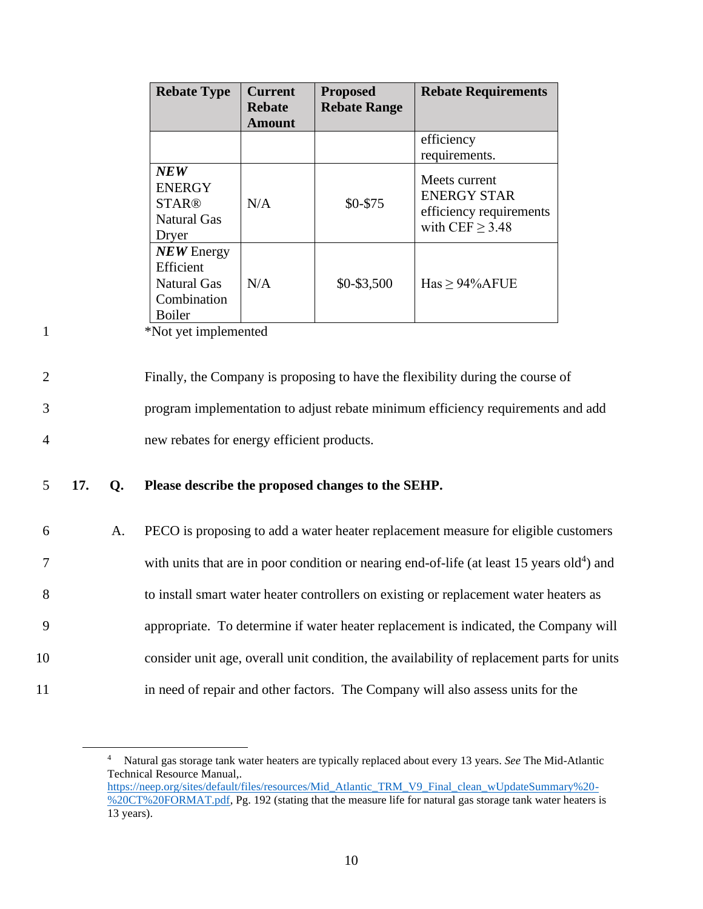| <b>Rebate Type</b>                                                              | <b>Current</b><br><b>Rebate</b><br><b>Amount</b> | <b>Proposed</b><br><b>Rebate Range</b> | <b>Rebate Requirements</b>                                                          |
|---------------------------------------------------------------------------------|--------------------------------------------------|----------------------------------------|-------------------------------------------------------------------------------------|
|                                                                                 |                                                  |                                        | efficiency<br>requirements.                                                         |
| <b>NEW</b><br><b>ENERGY</b><br><b>STAR®</b><br><b>Natural Gas</b><br>Dryer      | N/A                                              | \$0-\$75                               | Meets current<br><b>ENERGY STAR</b><br>efficiency requirements<br>with $CEF > 3.48$ |
| $NEW$ Energy<br>Efficient<br><b>Natural Gas</b><br>Combination<br><b>Boiler</b> | N/A                                              | \$0-\$3,500                            | $Has \geq 94\%$ AFUE                                                                |

1 \*Not yet implemented

2 Finally, the Company is proposing to have the flexibility during the course of 3 program implementation to adjust rebate minimum efficiency requirements and add 4 new rebates for energy efficient products.

### 5 **17. Q. Please describe the proposed changes to the SEHP.**

 A. PECO is proposing to add a water heater replacement measure for eligible customers 7 with units that are in poor condition or nearing end-of-life (at least 15 years old<sup>4</sup>) and to install smart water heater controllers on existing or replacement water heaters as appropriate. To determine if water heater replacement is indicated, the Company will consider unit age, overall unit condition, the availability of replacement parts for units in need of repair and other factors. The Company will also assess units for the

<sup>4</sup> Natural gas storage tank water heaters are typically replaced about every 13 years. *See* The Mid-Atlantic Technical Resource Manual,. [https://neep.org/sites/default/files/resources/Mid\\_Atlantic\\_TRM\\_V9\\_Final\\_clean\\_wUpdateSummary%20-](https://neep.org/sites/default/files/resources/Mid_Atlantic_TRM_V9_Final_clean_wUpdateSummary%20-%20CT%20FORMAT.pdf) [%20CT%20FORMAT.pdf,](https://neep.org/sites/default/files/resources/Mid_Atlantic_TRM_V9_Final_clean_wUpdateSummary%20-%20CT%20FORMAT.pdf) Pg. 192 (stating that the measure life for natural gas storage tank water heaters is 13 years).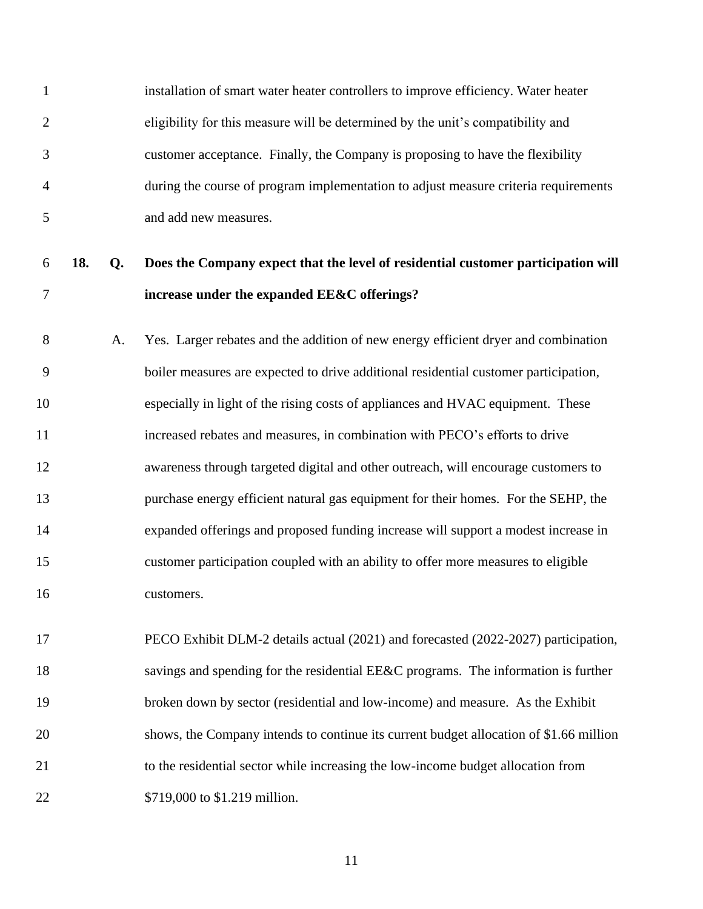installation of smart water heater controllers to improve efficiency. Water heater eligibility for this measure will be determined by the unit's compatibility and customer acceptance. Finally, the Company is proposing to have the flexibility during the course of program implementation to adjust measure criteria requirements and add new measures.

# **18. Q. Does the Company expect that the level of residential customer participation will increase under the expanded EE&C offerings?**

 A. Yes. Larger rebates and the addition of new energy efficient dryer and combination boiler measures are expected to drive additional residential customer participation, especially in light of the rising costs of appliances and HVAC equipment. These increased rebates and measures, in combination with PECO's efforts to drive awareness through targeted digital and other outreach, will encourage customers to purchase energy efficient natural gas equipment for their homes. For the SEHP, the expanded offerings and proposed funding increase will support a modest increase in customer participation coupled with an ability to offer more measures to eligible customers.

 PECO Exhibit DLM-2 details actual (2021) and forecasted (2022-2027) participation, savings and spending for the residential EE&C programs. The information is further broken down by sector (residential and low-income) and measure. As the Exhibit shows, the Company intends to continue its current budget allocation of \$1.66 million to the residential sector while increasing the low-income budget allocation from 22 \$719,000 to \$1.219 million.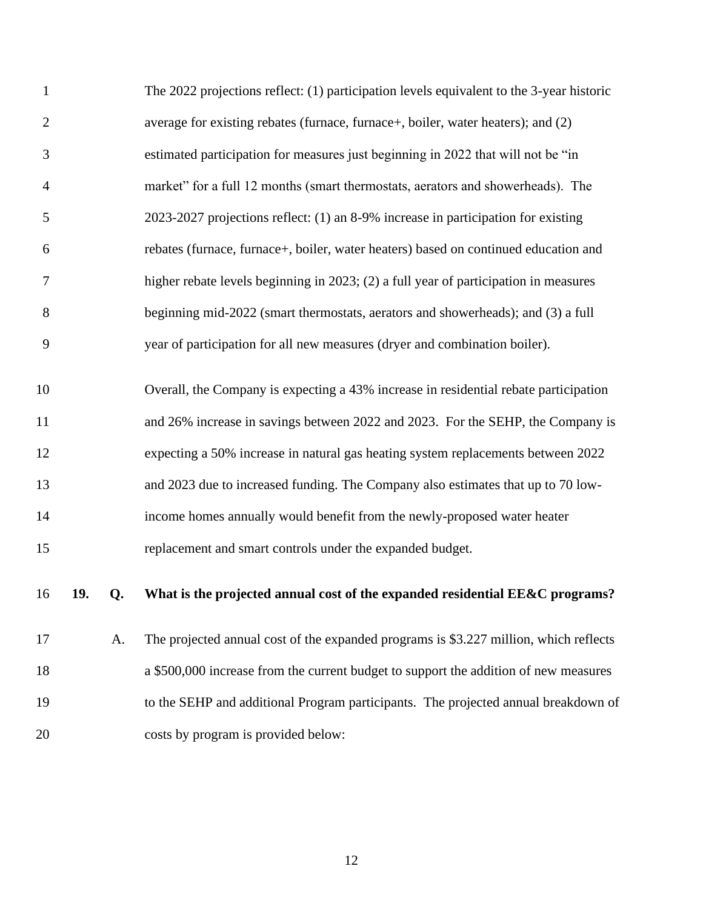| $\mathbf{1}$   |     |    | The 2022 projections reflect: (1) participation levels equivalent to the 3-year historic |
|----------------|-----|----|------------------------------------------------------------------------------------------|
| $\overline{2}$ |     |    | average for existing rebates (furnace, furnace+, boiler, water heaters); and (2)         |
| 3              |     |    | estimated participation for measures just beginning in 2022 that will not be "in         |
| 4              |     |    | market" for a full 12 months (smart thermostats, aerators and showerheads). The          |
| 5              |     |    | 2023-2027 projections reflect: (1) an 8-9% increase in participation for existing        |
| 6              |     |    | rebates (furnace, furnace+, boiler, water heaters) based on continued education and      |
| 7              |     |    | higher rebate levels beginning in 2023; (2) a full year of participation in measures     |
| $8\,$          |     |    | beginning mid-2022 (smart thermostats, aerators and showerheads); and (3) a full         |
| 9              |     |    | year of participation for all new measures (dryer and combination boiler).               |
| 10             |     |    | Overall, the Company is expecting a 43% increase in residential rebate participation     |
| 11             |     |    | and 26% increase in savings between 2022 and 2023. For the SEHP, the Company is          |
| 12             |     |    | expecting a 50% increase in natural gas heating system replacements between 2022         |
| 13             |     |    | and 2023 due to increased funding. The Company also estimates that up to 70 low-         |
| 14             |     |    | income homes annually would benefit from the newly-proposed water heater                 |
| 15             |     |    | replacement and smart controls under the expanded budget.                                |
| 16             | 19. | Q. | What is the projected annual cost of the expanded residential EE&C programs?             |
| 17             |     | A. | The projected annual cost of the expanded programs is \$3.227 million, which reflects    |
| 18             |     |    | a \$500,000 increase from the current budget to support the addition of new measures     |
| 19             |     |    | to the SEHP and additional Program participants. The projected annual breakdown of       |
| 20             |     |    | costs by program is provided below:                                                      |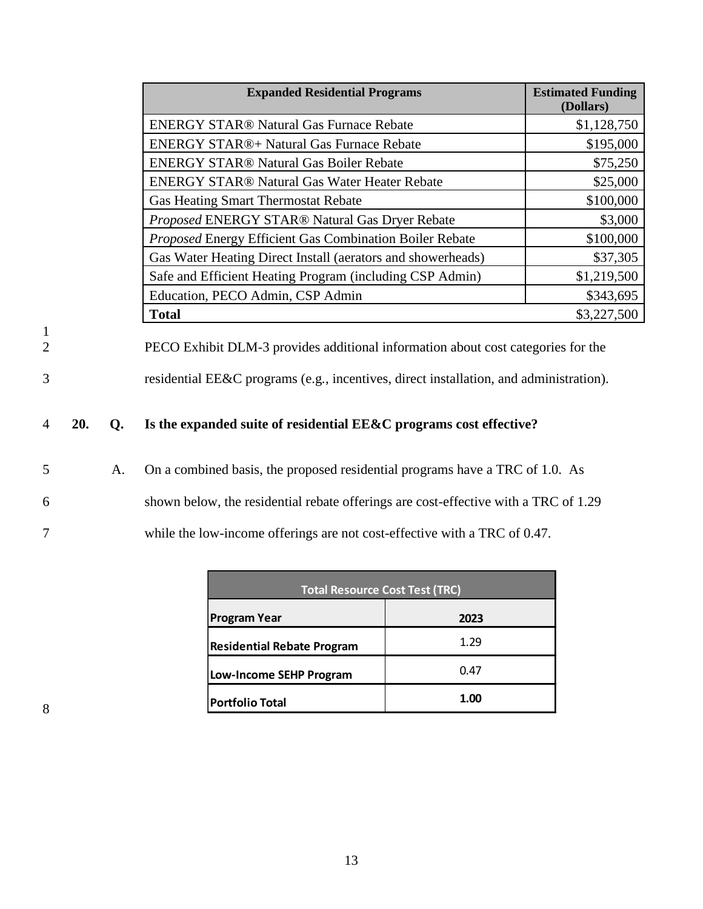|                    |     |    | <b>Expanded Residential Programs</b>                                                                                                                                       | <b>Estimated Funding</b><br>(Dollars) |
|--------------------|-----|----|----------------------------------------------------------------------------------------------------------------------------------------------------------------------------|---------------------------------------|
|                    |     |    | <b>ENERGY STAR® Natural Gas Furnace Rebate</b>                                                                                                                             | \$1,128,750                           |
|                    |     |    | <b>ENERGY STAR®+ Natural Gas Furnace Rebate</b>                                                                                                                            | \$195,000                             |
|                    |     |    | <b>ENERGY STAR® Natural Gas Boiler Rebate</b>                                                                                                                              | \$75,250                              |
|                    |     |    | <b>ENERGY STAR® Natural Gas Water Heater Rebate</b>                                                                                                                        | \$25,000                              |
|                    |     |    | <b>Gas Heating Smart Thermostat Rebate</b>                                                                                                                                 | \$100,000                             |
|                    |     |    | Proposed ENERGY STAR® Natural Gas Dryer Rebate                                                                                                                             | \$3,000                               |
|                    |     |    | Proposed Energy Efficient Gas Combination Boiler Rebate                                                                                                                    | \$100,000                             |
|                    |     |    | Gas Water Heating Direct Install (aerators and showerheads)                                                                                                                | \$37,305                              |
|                    |     |    | Safe and Efficient Heating Program (including CSP Admin)                                                                                                                   | \$1,219,500                           |
|                    |     |    | Education, PECO Admin, CSP Admin                                                                                                                                           | \$343,695                             |
|                    |     |    | <b>Total</b>                                                                                                                                                               | \$3,227,500                           |
| $\frac{1}{2}$<br>3 |     |    | PECO Exhibit DLM-3 provides additional information about cost categories for the<br>residential EE&C programs (e.g., incentives, direct installation, and administration). |                                       |
| 4                  | 20. | Q. | Is the expanded suite of residential EE&C programs cost effective?                                                                                                         |                                       |
| 5                  |     | Α. | On a combined basis, the proposed residential programs have a TRC of 1.0. As                                                                                               |                                       |
| 6                  |     |    | shown below, the residential rebate offerings are cost-effective with a TRC of 1.29                                                                                        |                                       |
| 7                  |     |    | while the low-income offerings are not cost-effective with a TRC of 0.47.                                                                                                  |                                       |

| <b>Total Resource Cost Test (TRC)</b> |      |  |
|---------------------------------------|------|--|
| <b>Program Year</b>                   | 2023 |  |
| <b>Residential Rebate Program</b>     | 1.29 |  |
| <b>Low-Income SEHP Program</b>        | 0.47 |  |
| <b>Portfolio Total</b>                | 1.00 |  |